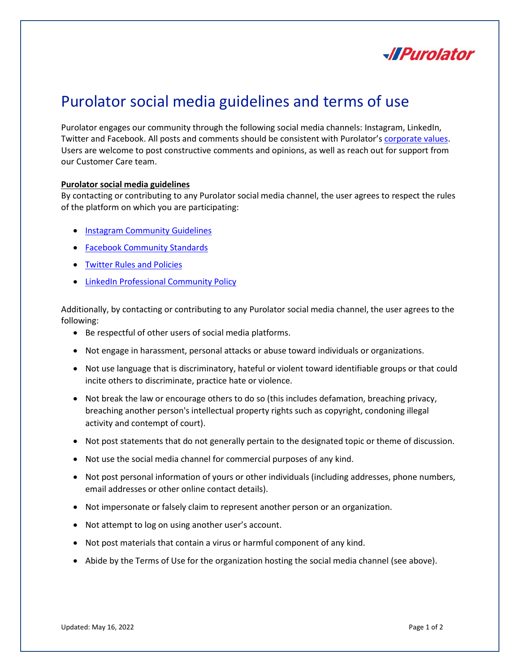

## Purolator social media guidelines and terms of use

Purolator engages our community through the following social media channels: Instagram, LinkedIn, Twitter and Facebook. All posts and comments should be consistent with Purolator's [corporate](https://www.purolator.com/en/about-purolator/our-vision-values) values. Users are welcome to post constructive comments and opinions, as well as reach out for support from our Customer Care team.

## **Purolator social media guidelines**

By contacting or contributing to any Purolator social media channel, the user agrees to respect the rules of the platform on which you are participating:

- [Instagram Community](https://help.instagram.com/477434105621119) Guidelines
- [Facebook Community Standards](https://transparency.fb.com/policies/community-standards/?source=https%3A%2F%2Fwww.facebook.com%2Fcommunitystandards%2F)
- [Twitter Rules and Policies](https://help.twitter.com/en/rules-and-policies#platform-use-guidelines)
- [LinkedIn Professional Community Policy](https://www.linkedin.com/legal/professional-community-policies)

Additionally, by contacting or contributing to any Purolator social media channel, the user agrees to the following:

- Be respectful of other users of social media platforms.
- Not engage in harassment, personal attacks or abuse toward individuals or organizations.
- Not use language that is discriminatory, hateful or violent toward identifiable groups or that could incite others to discriminate, practice hate or violence.
- Not break the law or encourage others to do so (this includes defamation, breaching privacy, breaching another person's intellectual property rights such as copyright, condoning illegal activity and contempt of court).
- Not post statements that do not generally pertain to the designated topic or theme of discussion.
- Not use the social media channel for commercial purposes of any kind.
- Not post personal information of yours or other individuals (including addresses, phone numbers, email addresses or other online contact details).
- Not impersonate or falsely claim to represent another person or an organization.
- Not attempt to log on using another user's account.
- Not post materials that contain a virus or harmful component of any kind.
- Abide by the Terms of Use for the organization hosting the social media channel (see above).